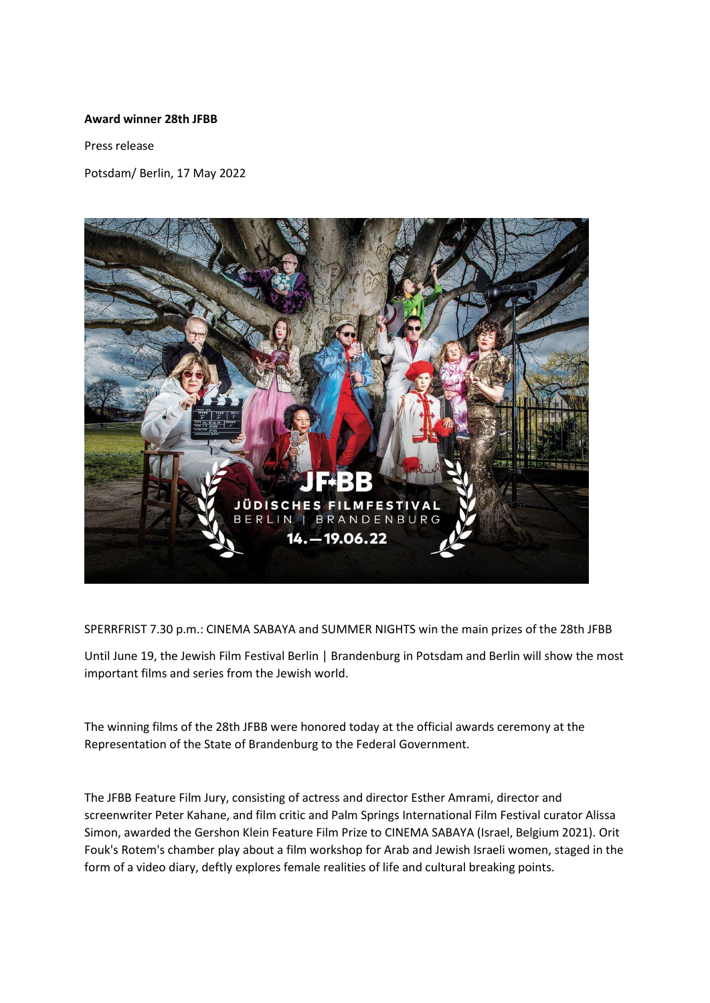## **Award winner 28th JFBB**

Press release

Potsdam/ Berlin, 17 May 2022



SPERRFRIST 7.30 p.m.: CINEMA SABAYA and SUMMER NIGHTS win the main prizes of the 28th JFBB

Until June 19, the Jewish Film Festival Berlin | Brandenburg in Potsdam and Berlin will show the most important films and series from the Jewish world.

The winning films of the 28th JFBB were honored today at the official awards ceremony at the Representation of the State of Brandenburg to the Federal Government.

The JFBB Feature Film Jury, consisting of actress and director Esther Amrami, director and screenwriter Peter Kahane, and film critic and Palm Springs International Film Festival curator Alissa Simon, awarded the Gershon Klein Feature Film Prize to CINEMA SABAYA (Israel, Belgium 2021). Orit Fouk's Rotem's chamber play about a film workshop for Arab and Jewish Israeli women, staged in the form of a video diary, deftly explores female realities of life and cultural breaking points.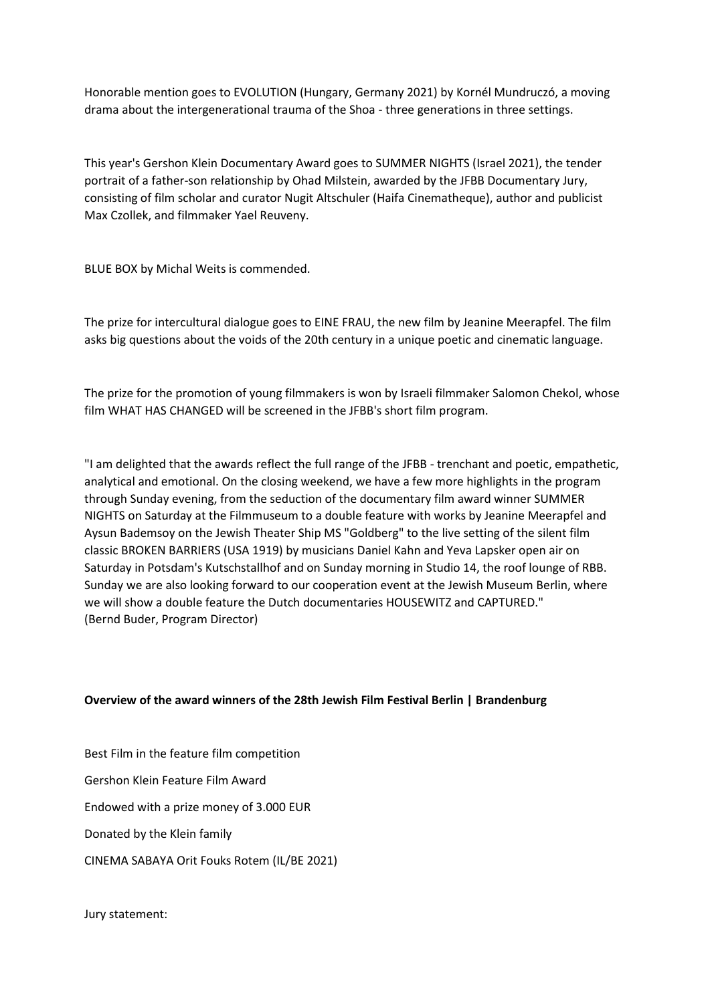Honorable mention goes to EVOLUTION (Hungary, Germany 2021) by Kornél Mundruczó, a moving drama about the intergenerational trauma of the Shoa - three generations in three settings.

This year's Gershon Klein Documentary Award goes to SUMMER NIGHTS (Israel 2021), the tender portrait of a father-son relationship by Ohad Milstein, awarded by the JFBB Documentary Jury, consisting of film scholar and curator Nugit Altschuler (Haifa Cinematheque), author and publicist Max Czollek, and filmmaker Yael Reuveny.

BLUE BOX by Michal Weits is commended.

The prize for intercultural dialogue goes to EINE FRAU, the new film by Jeanine Meerapfel. The film asks big questions about the voids of the 20th century in a unique poetic and cinematic language.

The prize for the promotion of young filmmakers is won by Israeli filmmaker Salomon Chekol, whose film WHAT HAS CHANGED will be screened in the JFBB's short film program.

"I am delighted that the awards reflect the full range of the JFBB - trenchant and poetic, empathetic, analytical and emotional. On the closing weekend, we have a few more highlights in the program through Sunday evening, from the seduction of the documentary film award winner SUMMER NIGHTS on Saturday at the Filmmuseum to a double feature with works by Jeanine Meerapfel and Aysun Bademsoy on the Jewish Theater Ship MS "Goldberg" to the live setting of the silent film classic BROKEN BARRIERS (USA 1919) by musicians Daniel Kahn and Yeva Lapsker open air on Saturday in Potsdam's Kutschstallhof and on Sunday morning in Studio 14, the roof lounge of RBB. Sunday we are also looking forward to our cooperation event at the Jewish Museum Berlin, where we will show a double feature the Dutch documentaries HOUSEWITZ and CAPTURED." (Bernd Buder, Program Director)

## **Overview of the award winners of the 28th Jewish Film Festival Berlin | Brandenburg**

Best Film in the feature film competition Gershon Klein Feature Film Award Endowed with a prize money of 3.000 EUR Donated by the Klein family CINEMA SABAYA Orit Fouks Rotem (IL/BE 2021)

Jury statement: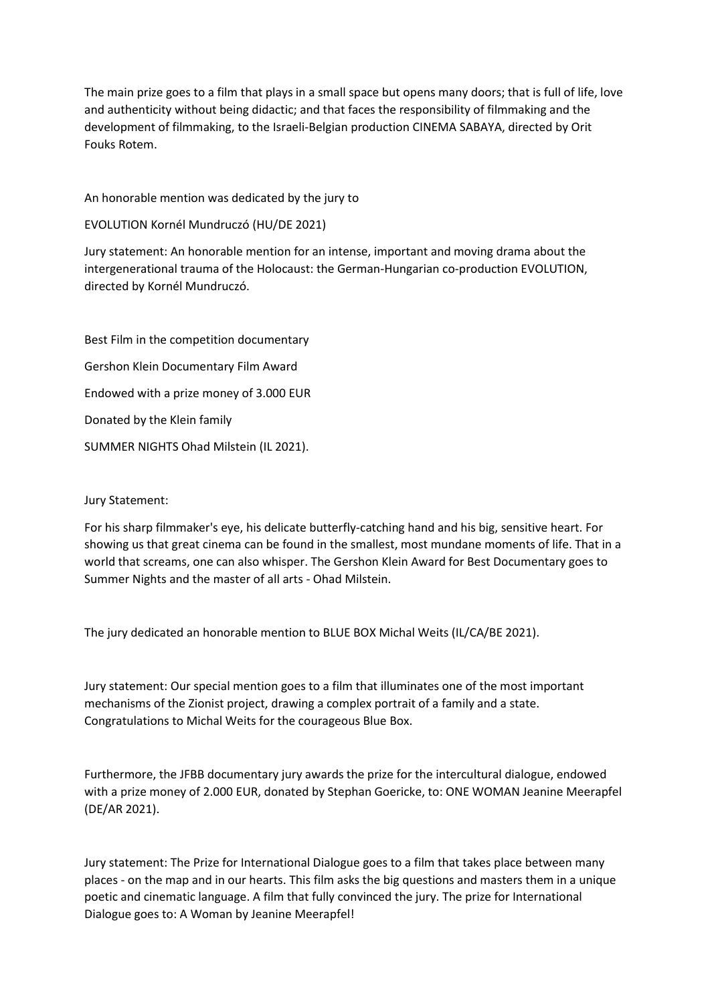The main prize goes to a film that plays in a small space but opens many doors; that is full of life, love and authenticity without being didactic; and that faces the responsibility of filmmaking and the development of filmmaking, to the Israeli-Belgian production CINEMA SABAYA, directed by Orit Fouks Rotem.

An honorable mention was dedicated by the jury to

EVOLUTION Kornél Mundruczó (HU/DE 2021)

Jury statement: An honorable mention for an intense, important and moving drama about the intergenerational trauma of the Holocaust: the German-Hungarian co-production EVOLUTION, directed by Kornél Mundruczó.

Best Film in the competition documentary Gershon Klein Documentary Film Award Endowed with a prize money of 3.000 EUR Donated by the Klein family SUMMER NIGHTS Ohad Milstein (IL 2021).

## Jury Statement:

For his sharp filmmaker's eye, his delicate butterfly-catching hand and his big, sensitive heart. For showing us that great cinema can be found in the smallest, most mundane moments of life. That in a world that screams, one can also whisper. The Gershon Klein Award for Best Documentary goes to Summer Nights and the master of all arts - Ohad Milstein.

The jury dedicated an honorable mention to BLUE BOX Michal Weits (IL/CA/BE 2021).

Jury statement: Our special mention goes to a film that illuminates one of the most important mechanisms of the Zionist project, drawing a complex portrait of a family and a state. Congratulations to Michal Weits for the courageous Blue Box.

Furthermore, the JFBB documentary jury awards the prize for the intercultural dialogue, endowed with a prize money of 2.000 EUR, donated by Stephan Goericke, to: ONE WOMAN Jeanine Meerapfel (DE/AR 2021).

Jury statement: The Prize for International Dialogue goes to a film that takes place between many places - on the map and in our hearts. This film asks the big questions and masters them in a unique poetic and cinematic language. A film that fully convinced the jury. The prize for International Dialogue goes to: A Woman by Jeanine Meerapfel!